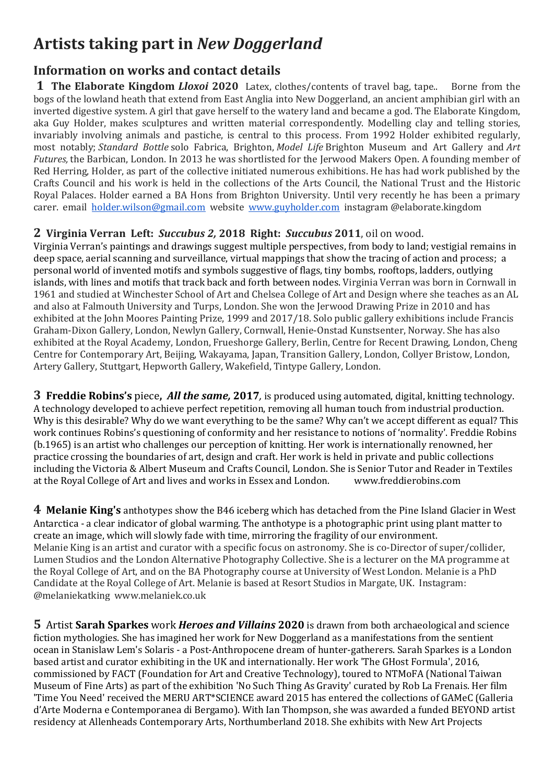# **Artists taking part in** *New Doggerland*

# **Information on works and contact details**

**1 The Elaborate Kingdom** *Lloxoi* **2020** Latex, clothes/contents of travel bag, tape..Borne from the bogs of the lowland heath that extend from East Anglia into New Doggerland, an ancient amphibian girl with an inverted digestive system. A girl that gave herself to the watery land and became a god. The Elaborate Kingdom, aka Guy Holder, makes sculptures and written material correspondently. Modelling clay and telling stories, invariably involving animals and pastiche, is central to this process. From 1992 Holder exhibited regularly, most notably; *Standard Bottle* solo Fabrica, Brighton, *Model Life* Brighton Museum and Art Gallery and *Art Futures,* the Barbican, London. In 2013 he was shortlisted for the Jerwood Makers Open. A founding member of Red Herring, Holder, as part of the collective initiated numerous exhibitions. He has had work published by the Crafts Council and his work is held in the collections of the Arts Council, the National Trust and the Historic Royal Palaces. Holder earned a BA Hons from Brighton University. Until very recently he has been a primary carer. email [holder.wilson@gmail.com](mailto:holder.wilson@gmail.com) website [www.guyholder.com](http://www.guyholder.com/) instagram @elaborate.kingdom

## **2 Virginia Verran Left:** *Succubus 2,* **2018 Right:** *Succubus* **2011**, oil on wood.

Virginia Verran's paintings and drawings suggest multiple perspectives, from body to land; vestigial remains in deep space, aerial scanning and surveillance, virtual mappings that show the tracing of action and process; a personal world of invented motifs and symbols suggestive of flags, tiny bombs, rooftops, ladders, outlying islands, with lines and motifs that track back and forth between nodes. Virginia Verran was born in Cornwall in 1961 and studied at Winchester School of Art and Chelsea College of Art and Design where she teaches as an AL and also at Falmouth University and Turps, London. She won the Jerwood Drawing Prize in 2010 and has exhibited at the John Moores Painting Prize, 1999 and 2017/18. Solo public gallery exhibitions include Francis Graham-Dixon Gallery, London, Newlyn Gallery, Cornwall, Henie-Onstad Kunstsenter, Norway. She has also exhibited at the Royal Academy, London, Frueshorge Gallery, Berlin, Centre for Recent Drawing, London, Cheng Centre for Contemporary Art, Beijing, Wakayama, Japan, Transition Gallery, London, Collyer Bristow, London, Artery Gallery, Stuttgart, Hepworth Gallery, Wakefield, Tintype Gallery, London.

**3 Freddie Robins's** piece**,** *All the same,* **2017***,* is produced using automated, digital, knitting technology. A technology developed to achieve perfect repetition, removing all human touch from industrial production. Why is this desirable? Why do we want everything to be the same? Why can't we accept different as equal? This work continues Robins's questioning of conformity and her resistance to notions of 'normality'. Freddie Robins (b.1965) is an artist who challenges our perception of knitting. Her work is internationally renowned, her practice crossing the boundaries of art, design and craft. Her work is held in private and public collections including the Victoria & Albert Museum and Crafts Council, London. She is Senior Tutor and Reader in Textiles at the Royal College of Art and lives and works in Essex and London.

**4 Melanie King's** anthotypes show the B46 iceberg which has detached from the Pine Island Glacier in West Antarctica - a clear indicator of global warming. The anthotype is a photographic print using plant matter to create an image, which will slowly fade with time, mirroring the fragility of our environment. Melanie King is an artist and curator with a specific focus on astronomy. She is co-Director of super/collider, Lumen Studios and the London Alternative Photography Collective. She is a lecturer on the MA programme at the Royal College of Art, and on the BA Photography course at University of West London. Melanie is a PhD Candidate at the Royal College of Art. Melanie is based at Resort Studios in Margate, UK. Instagram: @melaniekatking www.melaniek.co.uk

**5** Artist **Sarah Sparkes** work *Heroes and Villains* **2020** is drawn from both archaeological and science fiction mythologies. She has imagined her work for New Doggerland as a manifestations from the sentient ocean in Stanislaw Lem's Solaris - a Post-Anthropocene dream of hunter-gatherers. Sarah Sparkes is a London based artist and curator exhibiting in the UK and internationally. Her work 'The GHost Formula', 2016, commissioned by FACT (Foundation for Art and Creative Technology), toured to NTMoFA (National Taiwan Museum of Fine Arts) as part of the exhibition 'No Such Thing As Gravity' curated by Rob La Frenais. Her film 'Time You Need' received the MERU ART\*SCIENCE award 2015 has entered the collections of GAMeC (Galleria d'Arte Moderna e Contemporanea di Bergamo). With Ian Thompson, she was awarded a funded BEYOND artist residency at Allenheads Contemporary Arts, Northumberland 2018. She exhibits with New Art Projects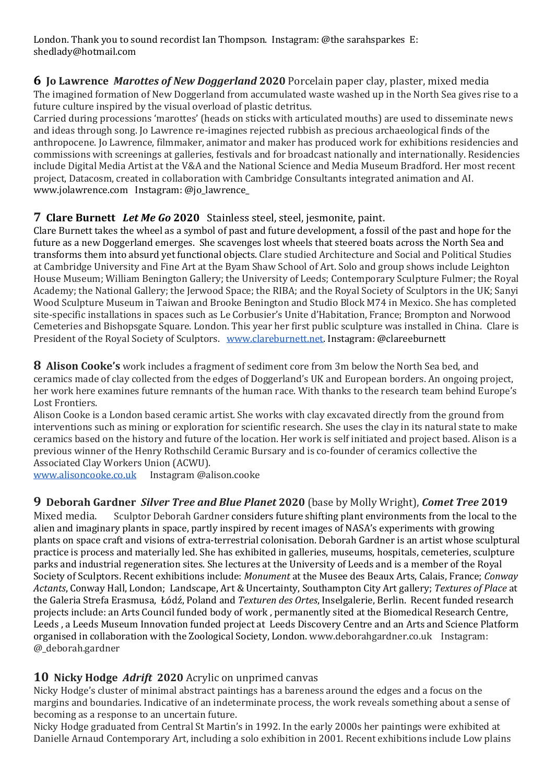London. Thank you to sound recordist Ian Thompson. Instagram: @the sarahsparkes E: shedlady@hotmail.com

**6 Jo Lawrence** *Marottes of New Doggerland* **2020** Porcelain paper clay, plaster, mixed media The imagined formation of New Doggerland from accumulated waste washed up in the North Sea gives rise to a future culture inspired by the visual overload of plastic detritus.

Carried during processions 'marottes' (heads on sticks with articulated mouths) are used to disseminate news and ideas through song. Jo Lawrence re-imagines rejected rubbish as precious archaeological finds of the anthropocene. Jo Lawrence, filmmaker, animator and maker has produced work for exhibitions residencies and commissions with screenings at galleries, festivals and for broadcast nationally and internationally. Residencies include Digital Media Artist at the V&A and the National Science and Media Museum Bradford. Her most recent project, Datacosm, created in collaboration with Cambridge Consultants integrated animation and AI. www.jolawrence.com Instagram: @jo\_lawrence\_

#### **7 Clare Burnett** *Let Me Go* **2020** Stainless steel, steel, jesmonite, paint.

Clare Burnett takes the wheel as a symbol of past and future development, a fossil of the past and hope for the future as a new Doggerland emerges. She scavenges lost wheels that steered boats across the North Sea and transforms them into absurd yet functional objects. Clare studied Architecture and Social and Political Studies at Cambridge University and Fine Art at the Byam Shaw School of Art. Solo and group shows include Leighton House Museum; William Benington Gallery; the University of Leeds; Contemporary Sculpture Fulmer; the Royal Academy; the National Gallery; the Jerwood Space; the RIBA; and the Royal Society of Sculptors in the UK; Sanyi Wood Sculpture Museum in Taiwan and Brooke Benington and Studio Block M74 in Mexico. She has completed site-specific installations in spaces such as Le Corbusier's Unite d'Habitation, France; Brompton and Norwood Cemeteries and Bishopsgate Square. London. This year her first public sculpture was installed in China. Clare is President of the Royal Society of Sculptors. [www.clareburnett.net.](http://www.clareburnett.net/) Instagram: @clareeburnett

**8 Alison Cooke's** work includes a fragment of sediment core from 3m below the North Sea bed, and ceramics made of clay collected from the edges of Doggerland's UK and European borders. An ongoing project, her work here examines future remnants of the human race. With thanks to the research team behind Europe's Lost Frontiers.

Alison Cooke is a London based ceramic artist. She works with clay excavated directly from the ground from interventions such as mining or exploration for scientific research. She uses the clay in its natural state to make ceramics based on the history and future of the location. Her work is self initiated and project based. Alison is a previous winner of the Henry Rothschild Ceramic Bursary and is co-founder of ceramics collective the Associated Clay Workers Union (ACWU).

[www.alisoncooke.co.uk](http://www.alisoncooke.co.uk/) Instagram @alison.cooke

# **9 Deborah Gardner** *Silver Tree and Blue Planet* **2020** (base by Molly Wright), *Comet Tree* **2019**

Sculptor Deborah Gardner considers future shifting plant environments from the local to the alien and imaginary plants in space, partly inspired by recent images of NASA's experiments with growing plants on space craft and visions of extra-terrestrial colonisation. Deborah Gardner is an artist whose sculptural practice is process and materially led. She has exhibited in galleries, museums, hospitals, cemeteries, sculpture parks and industrial regeneration sites. She lectures at the University of Leeds and is a member of the Royal Society of Sculptors. Recent exhibitions include: *Monument* at the Musee des Beaux Arts, Calais, France; *Conway Actants*, Conway Hall, London; Landscape, Art & Uncertainty, Southampton City Art gallery; *Textures of Place* at the Galeria Strefa Erasmusa, Łódź, Poland and *Texturen des Ortes*, Inselgalerie, Berlin. Recent funded research projects include: an Arts Council funded body of work , permanently sited at the Biomedical Research Centre, Leeds , a Leeds Museum Innovation funded project at Leeds Discovery Centre and an Arts and Science Platform organised in collaboration with the Zoological Society, London. www.deborahgardner.co.uk Instagram: @\_deborah.gardner

#### **10 Nicky Hodge** *Adrift* **2020** Acrylic on unprimed canvas

Nicky Hodge's cluster of minimal abstract paintings has a bareness around the edges and a focus on the margins and boundaries. Indicative of an indeterminate process, the work reveals something about a sense of becoming as a response to an uncertain future.

Nicky Hodge graduated from Central St Martin's in 1992. In the early 2000s her paintings were exhibited at Danielle Arnaud Contemporary Art, including a solo exhibition in 2001. Recent exhibitions include Low plains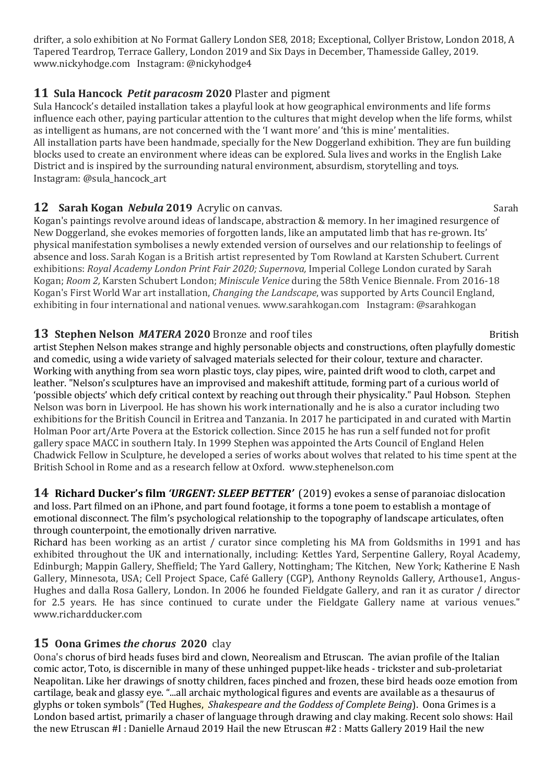drifter, a solo exhibition at No Format Gallery London SE8, 2018; Exceptional, Collyer Bristow, London 2018, A Tapered Teardrop, Terrace Gallery, London 2019 and Six Days in December, Thamesside Galley, 2019. www.nickyhodge.com Instagram: @nickyhodge4

#### **11 Sula Hancock** *Petit paracosm* **2020** Plaster and pigment

Sula Hancock's detailed installation takes a playful look at how geographical environments and life forms influence each other, paying particular attention to the cultures that might develop when the life forms, whilst as intelligent as humans, are not concerned with the 'I want more' and 'this is mine' mentalities. All installation parts have been handmade, specially for the New Doggerland exhibition. They are fun building blocks used to create an environment where ideas can be explored. Sula lives and works in the English Lake District and is inspired by the surrounding natural environment, absurdism, storytelling and toys. Instagram: @sula\_hancock\_art

#### **12 Sarah Kogan** *Nebula* **2019** Acrylic on canvas. Sarah

Kogan's paintings revolve around ideas of landscape, abstraction & memory. In her imagined resurgence of New Doggerland, she evokes memories of forgotten lands, like an amputated limb that has re-grown. Its' physical manifestation symbolises a newly extended version of ourselves and our relationship to feelings of absence and loss. Sarah Kogan is a British artist represented by Tom Rowland at Karsten Schubert. Current exhibitions: *Royal Academy London Print Fair 2020; Supernova,* Imperial College London curated by Sarah Kogan; *Room 2,* Karsten Schubert London; *Miniscule Venice* during the 58th Venice Biennale. From 2016-18 Kogan's First World War art installation, *Changing the Landscape*, was supported by Arts Council England, exhibiting in four international and national venues. www.sarahkogan.com Instagram: @sarahkogan

## **13 Stephen Nelson** *MATERA* **2020** Bronze and roof tiles British

artist Stephen Nelson makes strange and highly personable objects and constructions, often playfully domestic and comedic, using a wide variety of salvaged materials selected for their colour, texture and character. Working with anything from sea worn plastic toys, clay pipes, wire, painted drift wood to cloth, carpet and leather. "Nelson's sculptures have an improvised and makeshift attitude, forming part of a curious world of 'possible objects' which defy critical context by reaching out through their physicality." Paul Hobson. Stephen Nelson was born in Liverpool. He has shown his work internationally and he is also a curator including two exhibitions for the British Council in Eritrea and Tanzania. In 2017 he participated in and curated with Martin Holman Poor art/Arte Povera at the Estorick collection. Since 2015 he has run a self funded not for profit gallery space MACC in southern Italy. In 1999 Stephen was appointed the Arts Council of England Helen Chadwick Fellow in Sculpture, he developed a series of works about wolves that related to his time spent at the British School in Rome and as a research fellow at Oxford. www.stephenelson.com

**14 Richard Ducker's film** *'URGENT: SLEEP BETTER'* (2019) evokes a sense of paranoiac dislocation and loss. Part filmed on an iPhone, and part found footage, it forms a tone poem to establish a montage of emotional disconnect. The film's psychological relationship to the topography of landscape articulates, often through counterpoint, the emotionally driven narrative.

Richard has been working as an artist / curator since completing his MA from Goldsmiths in 1991 and has exhibited throughout the UK and internationally, including: Kettles Yard, Serpentine Gallery, Royal Academy, Edinburgh; Mappin Gallery, Sheffield; The Yard Gallery, Nottingham; The Kitchen, New York; Katherine E Nash Gallery, Minnesota, USA; Cell Project Space, Café Gallery (CGP), Anthony Reynolds Gallery, Arthouse1, Angus-Hughes and dalla Rosa Gallery, London. In 2006 he founded Fieldgate Gallery, and ran it as curator / director for 2.5 years. He has since continued to curate under the Fieldgate Gallery name at various venues." www.richardducker.com

#### **15 Oona Grimes** *the chorus* **2020** clay

Oona's chorus of bird heads fuses bird and clown, Neorealism and Etruscan. The avian profile of the Italian comic actor, Toto, is discernible in many of these unhinged puppet-like heads - trickster and sub-proletariat Neapolitan. Like her drawings of snotty children, faces pinched and frozen, these bird heads ooze emotion from cartilage, beak and glassy eye. "...all archaic mythological figures and events are available as a thesaurus of glyphs or token symbols" (Ted Hughes, *Shakespeare and the Goddess of Complete Being*). Oona Grimes is a London based artist, primarily a chaser of language through drawing and clay making. Recent solo shows: Hail the new Etruscan #I : Danielle Arnaud 2019 Hail the new Etruscan #2 : Matts Gallery 2019 Hail the new